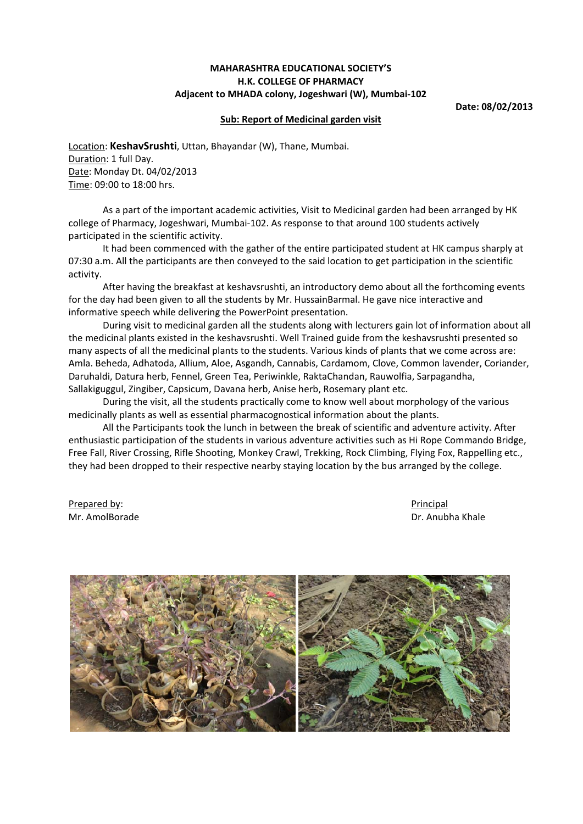## **MAHARASHTRA EDUCATIONAL SOCIETY'S H.K. COLLEGE OF PHARMACY Adjacent to MHADA colony, Jogeshwari (W), Mumbai‐102**

**Date: 08/02/2013**

## **Sub: Report of Medicinal garden visit**

Location: **KeshavSrushti**, Uttan, Bhayandar (W), Thane, Mumbai. Duration: 1 full Day. Date: Monday Dt. 04/02/2013 Time: 09:00 to 18:00 hrs.

As a part of the important academic activities, Visit to Medicinal garden had been arranged by HK college of Pharmacy, Jogeshwari, Mumbai‐102. As response to that around 100 students actively participated in the scientific activity.

It had been commenced with the gather of the entire participated student at HK campus sharply at 07:30 a.m. All the participants are then conveyed to the said location to get participation in the scientific activity.

After having the breakfast at keshavsrushti, an introductory demo about all the forthcoming events for the day had been given to all the students by Mr. HussainBarmal. He gave nice interactive and informative speech while delivering the PowerPoint presentation.

During visit to medicinal garden all the students along with lecturers gain lot of information about all the medicinal plants existed in the keshavsrushti. Well Trained guide from the keshavsrushti presented so many aspects of all the medicinal plants to the students. Various kinds of plants that we come across are: Amla. Beheda, Adhatoda, Allium, Aloe, Asgandh, Cannabis, Cardamom, Clove, Common lavender, Coriander, Daruhaldi, Datura herb, Fennel, Green Tea, Periwinkle, RaktaChandan, Rauwolfia, Sarpagandha, Sallakiguggul, Zingiber, Capsicum, Davana herb, Anise herb, Rosemary plant etc.

During the visit, all the students practically come to know well about morphology of the various medicinally plants as well as essential pharmacognostical information about the plants.

All the Participants took the lunch in between the break of scientific and adventure activity. After enthusiastic participation of the students in various adventure activities such as Hi Rope Commando Bridge, Free Fall, River Crossing, Rifle Shooting, Monkey Crawl, Trekking, Rock Climbing, Flying Fox, Rappelling etc., they had been dropped to their respective nearby staying location by the bus arranged by the college.

Prepared by: **Branch and Solution** Prepared by: *Principal* 

Mr. AmolBorade Dr. Anubha Khale

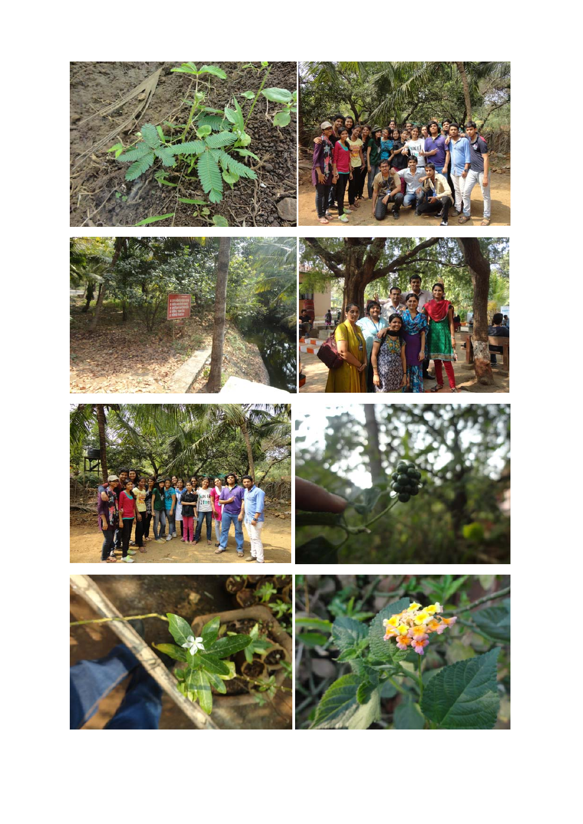